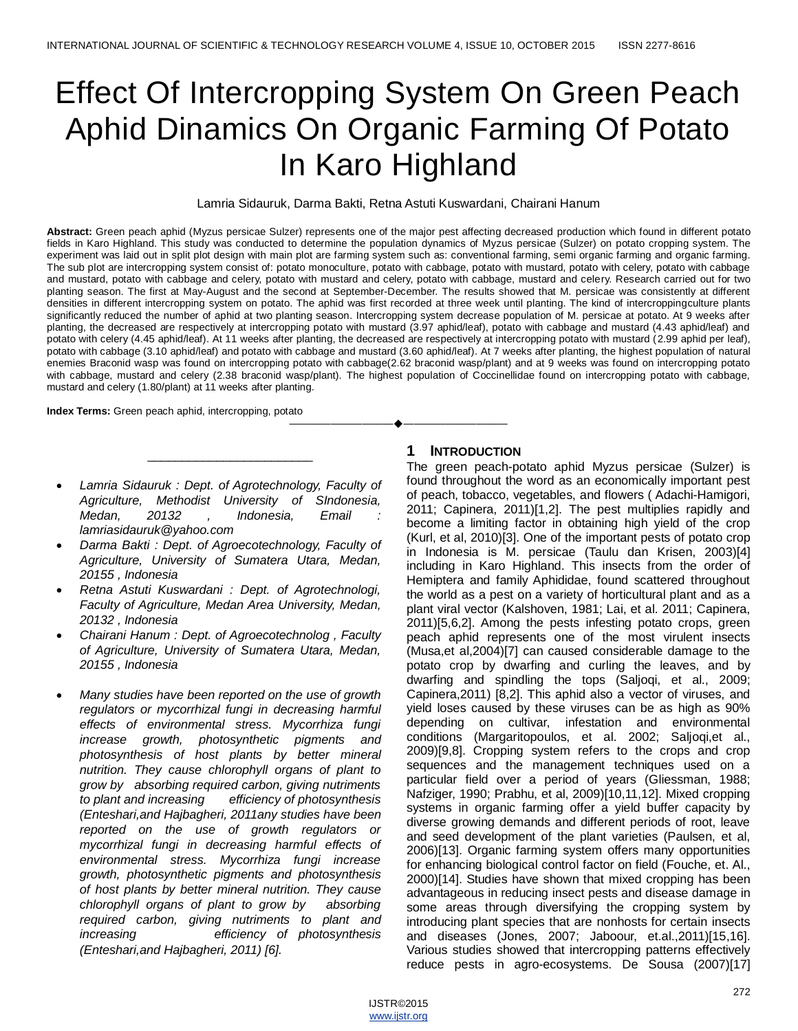# Effect Of Intercropping System On Green Peach Aphid Dinamics On Organic Farming Of Potato In Karo Highland

Lamria Sidauruk, Darma Bakti, Retna Astuti Kuswardani, Chairani Hanum

**Abstract:** Green peach aphid (Myzus persicae Sulzer) represents one of the major pest affecting decreased production which found in different potato fields in Karo Highland. This study was conducted to determine the population dynamics of Myzus persicae (Sulzer) on potato cropping system. The experiment was laid out in split plot design with main plot are farming system such as: conventional farming, semi organic farming and organic farming. The sub plot are intercropping system consist of: potato monoculture, potato with cabbage, potato with mustard, potato with celery, potato with cabbage and mustard, potato with cabbage and celery, potato with mustard and celery, potato with cabbage, mustard and celery. Research carried out for two planting season. The first at May-August and the second at September-December. The results showed that M. persicae was consistently at different densities in different intercropping system on potato. The aphid was first recorded at three week until planting. The kind of intercroppingculture plants significantly reduced the number of aphid at two planting season. Intercropping system decrease population of M. persicae at potato. At 9 weeks after planting, the decreased are respectively at intercropping potato with mustard (3.97 aphid/leaf), potato with cabbage and mustard (4.43 aphid/leaf) and potato with celery (4.45 aphid/leaf). At 11 weeks after planting, the decreased are respectively at intercropping potato with mustard (2.99 aphid per leaf), potato with cabbage (3.10 aphid/leaf) and potato with cabbage and mustard (3.60 aphid/leaf). At 7 weeks after planting, the highest population of natural enemies Braconid wasp was found on intercropping potato with cabbage(2.62 braconid wasp/plant) and at 9 weeks was found on intercropping potato with cabbage, mustard and celery (2.38 braconid wasp/plant). The highest population of Coccinellidae found on intercropping potato with cabbage, mustard and celery (1.80/plant) at 11 weeks after planting.

————————————————————

**Index Terms:** Green peach aphid, intercropping, potato

 *Lamria Sidauruk : Dept. of Agrotechnology, Faculty of Agriculture, Methodist University of SIndonesia, Medan, 20132* , *Indonesia, Email lamriasidauruk@yahoo.com* 

\_\_\_\_\_\_\_\_\_\_\_\_\_\_\_\_\_\_\_\_\_\_\_\_

- *Darma Bakti : Dept. of Agroecotechnology, Faculty of Agriculture, University of Sumatera Utara, Medan, 20155 , Indonesia*
- *Retna Astuti Kuswardani : Dept. of Agrotechnologi, Faculty of Agriculture, Medan Area University, Medan, 20132 , Indonesia*
- *Chairani Hanum : Dept. of Agroecotechnolog , Faculty of Agriculture, University of Sumatera Utara, Medan, 20155 , Indonesia*
- *Many studies have been reported on the use of growth regulators or mycorrhizal fungi in decreasing harmful effects of environmental stress. Mycorrhiza fungi increase growth, photosynthetic pigments and photosynthesis of host plants by better mineral nutrition. They cause chlorophyll organs of plant to grow by absorbing required carbon, giving nutriments to plant and increasing efficiency of photosynthesis (Enteshari,and Hajbagheri, 2011any studies have been reported on the use of growth regulators or mycorrhizal fungi in decreasing harmful effects of environmental stress. Mycorrhiza fungi increase growth, photosynthetic pigments and photosynthesis of host plants by better mineral nutrition. They cause chlorophyll organs of plant to grow by absorbing required carbon, giving nutriments to plant and increasing efficiency of photosynthesis (Enteshari,and Hajbagheri, 2011) [6].*

#### **1 INTRODUCTION**

The green peach-potato aphid Myzus persicae (Sulzer) is found throughout the word as an economically important pest of peach, tobacco, vegetables, and flowers ( Adachi-Hamigori, 2011; Capinera, 2011)[1,2]. The pest multiplies rapidly and become a limiting factor in obtaining high yield of the crop (Kurl, et al, 2010)[3]. One of the important pests of potato crop in Indonesia is M. persicae (Taulu dan Krisen, 2003)[4] including in Karo Highland. This insects from the order of Hemiptera and family Aphididae, found scattered throughout the world as a pest on a variety of horticultural plant and as a plant viral vector (Kalshoven, 1981; Lai, et al. 2011; Capinera, 2011)[5,6,2]. Among the pests infesting potato crops, green peach aphid represents one of the most virulent insects (Musa,et al,2004)[7] can caused considerable damage to the potato crop by dwarfing and curling the leaves, and by dwarfing and spindling the tops (Saljoqi, et al., 2009; Capinera,2011) [8,2]. This aphid also a vector of viruses, and yield loses caused by these viruses can be as high as 90% depending on cultivar, infestation and environmental conditions (Margaritopoulos, et al. 2002; Saljoqi,et al., 2009)[9,8]. Cropping system refers to the crops and crop sequences and the management techniques used on a particular field over a period of years (Gliessman, 1988; Nafziger, 1990; Prabhu, et al, 2009)[10,11,12]. Mixed cropping systems in organic farming offer a yield buffer capacity by diverse growing demands and different periods of root, leave and seed development of the plant varieties (Paulsen, et al, 2006)[13]. Organic farming system offers many opportunities for enhancing biological control factor on field (Fouche, et. Al., 2000)[14]. Studies have shown that mixed cropping has been advantageous in reducing insect pests and disease damage in some areas through diversifying the cropping system by introducing plant species that are nonhosts for certain insects and diseases (Jones, 2007; Jaboour, et.al.,2011)[15,16]. Various studies showed that intercropping patterns effectively reduce pests in agro-ecosystems. De Sousa (2007)[17]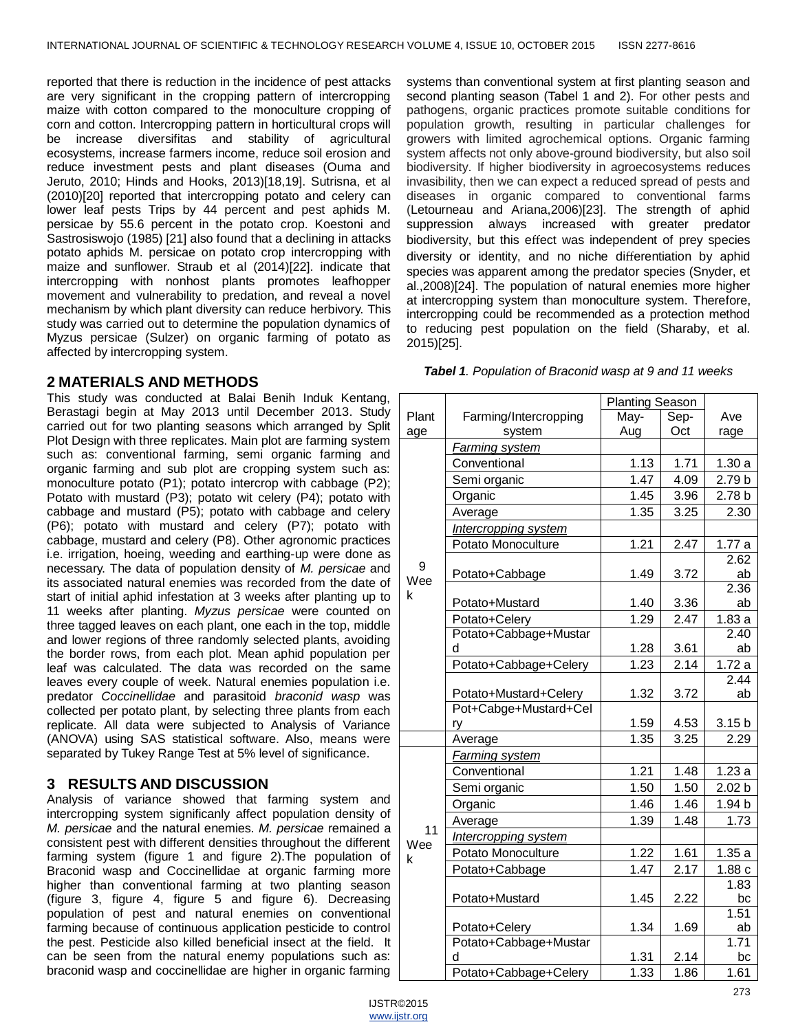reported that there is reduction in the incidence of pest attacks are very significant in the cropping pattern of intercropping maize with cotton compared to the monoculture cropping of corn and cotton. Intercropping pattern in horticultural crops will be increase diversifitas and stability of agricultural ecosystems, increase farmers income, reduce soil erosion and reduce investment pests and plant diseases (Ouma and Jeruto, 2010; Hinds and Hooks, 2013)[18,19]. Sutrisna, et al (2010)[20] reported that intercropping potato and celery can lower leaf pests Trips by 44 percent and pest aphids M. persicae by 55.6 percent in the potato crop. Koestoni and Sastrosiswojo (1985) [21] also found that a declining in attacks potato aphids M. persicae on potato crop intercropping with maize and sunflower. Straub et al (2014)[22]. indicate that intercropping with nonhost plants promotes leafhopper movement and vulnerability to predation, and reveal a novel mechanism by which plant diversity can reduce herbivory. This study was carried out to determine the population dynamics of Myzus persicae (Sulzer) on organic farming of potato as affected by intercropping system.

## **2 MATERIALS AND METHODS**

This study was conducted at Balai Benih Induk Kentang, Berastagi begin at May 2013 until December 2013. Study carried out for two planting seasons which arranged by Split Plot Design with three replicates. Main plot are farming system such as: conventional farming, semi organic farming and organic farming and sub plot are cropping system such as: monoculture potato (P1); potato intercrop with cabbage (P2); Potato with mustard (P3); potato wit celery (P4); potato with cabbage and mustard (P5); potato with cabbage and celery (P6); potato with mustard and celery (P7); potato with cabbage, mustard and celery (P8). Other agronomic practices i.e. irrigation, hoeing, weeding and earthing-up were done as necessary. The data of population density of *M. persicae* and its associated natural enemies was recorded from the date of start of initial aphid infestation at 3 weeks after planting up to 11 weeks after planting. *Myzus persicae* were counted on three tagged leaves on each plant, one each in the top, middle and lower regions of three randomly selected plants, avoiding the border rows, from each plot. Mean aphid population per leaf was calculated. The data was recorded on the same leaves every couple of week. Natural enemies population i.e. predator *Coccinellidae* and parasitoid *braconid wasp* was collected per potato plant, by selecting three plants from each replicate. All data were subjected to Analysis of Variance (ANOVA) using SAS statistical software. Also, means were separated by Tukey Range Test at 5% level of significance.

## **3 RESULTS AND DISCUSSION**

Analysis of variance showed that farming system and intercropping system significanly affect population density of *M. persicae* and the natural enemies. *M. persicae* remained a consistent pest with different densities throughout the different farming system (figure 1 and figure 2).The population of Braconid wasp and Coccinellidae at organic farming more higher than conventional farming at two planting season (figure 3, figure 4, figure 5 and figure 6). Decreasing population of pest and natural enemies on conventional farming because of continuous application pesticide to control the pest. Pesticide also killed beneficial insect at the field. It can be seen from the natural enemy populations such as: braconid wasp and coccinellidae are higher in organic farming

systems than conventional system at first planting season and second planting season (Tabel 1 and 2). For other pests and pathogens, organic practices promote suitable conditions for population growth, resulting in particular challenges for growers with limited agrochemical options. Organic farming system affects not only above-ground biodiversity, but also soil biodiversity. If higher biodiversity in agroecosystems reduces invasibility, then we can expect a reduced spread of pests and diseases in organic compared to conventional farms (Letourneau and Ariana,2006)[23]. The strength of aphid suppression always increased with greater predator biodiversity, but this effect was independent of prey species diversity or identity, and no niche differentiation by aphid species was apparent among the predator species (Snyder, et al.,2008)[24]. The population of natural enemies more higher at intercropping system than monoculture system. Therefore, intercropping could be recommended as a protection method to reducing pest population on the field (Sharaby, et al. 2015)[25].

|       |                       | <b>Planting Season</b> |      |                   |
|-------|-----------------------|------------------------|------|-------------------|
| Plant | Farming/Intercropping | May-                   | Sep- | Ave               |
| age   | system                | Aug                    | Oct  | rage              |
|       | Farming system        |                        |      |                   |
|       | Conventional          | 1.13                   | 1.71 | 1.30a             |
|       | Semi organic          | 1.47                   | 4.09 | 2.79 b            |
|       | Organic               | 1.45                   | 3.96 | 2.78 b            |
|       | Average               | 1.35                   | 3.25 | 2.30              |
|       | Intercropping system  |                        |      |                   |
|       | Potato Monoculture    | 1.21                   | 2.47 | 1.77a             |
| 9     |                       |                        |      | 2.62              |
| Wee   | Potato+Cabbage        | 1.49                   | 3.72 | ab                |
| k     |                       |                        |      | 2.36              |
|       | Potato+Mustard        | 1.40                   | 3.36 | ab                |
|       | Potato+Celery         | 1.29                   | 2.47 | 1.83a             |
|       | Potato+Cabbage+Mustar |                        |      | 2.40              |
|       | d                     | 1.28                   | 3.61 | ab                |
|       | Potato+Cabbage+Celery | 1.23                   | 2.14 | 1.72a             |
|       |                       |                        |      | 2.44              |
|       | Potato+Mustard+Celery | 1.32                   | 3.72 | ab                |
|       | Pot+Cabge+Mustard+Cel | 1.59                   | 4.53 | 3.15 <sub>b</sub> |
|       | ry                    |                        |      |                   |
|       | Average               | 1.35                   | 3.25 | 2.29              |
|       | <u>Farming system</u> |                        |      |                   |
|       | Conventional          | 1.21                   | 1.48 | 1.23a             |
|       | Semi organic          | 1.50                   | 1.50 | 2.02 <sub>b</sub> |
|       | Organic               | 1.46                   | 1.46 | 1.94 b            |
| 11    | Average               | 1.39                   | 1.48 | 1.73              |
| Wee   | Intercropping system  |                        |      |                   |
| k     | Potato Monoculture    | 1.22                   | 1.61 | 1.35a             |
|       | Potato+Cabbage        | 1.47                   | 2.17 | 1.88c             |
|       |                       |                        |      | 1.83              |
|       | Potato+Mustard        | 1.45                   | 2.22 | bc                |
|       |                       |                        |      | 1.51              |
|       | Potato+Celery         | 1.34                   | 1.69 | ab                |
|       | Potato+Cabbage+Mustar |                        |      | 1.71              |
|       | d                     | 1.31                   | 2.14 | bc                |
|       | Potato+Cabbage+Celery | 1.33                   | 1.86 | 1.61              |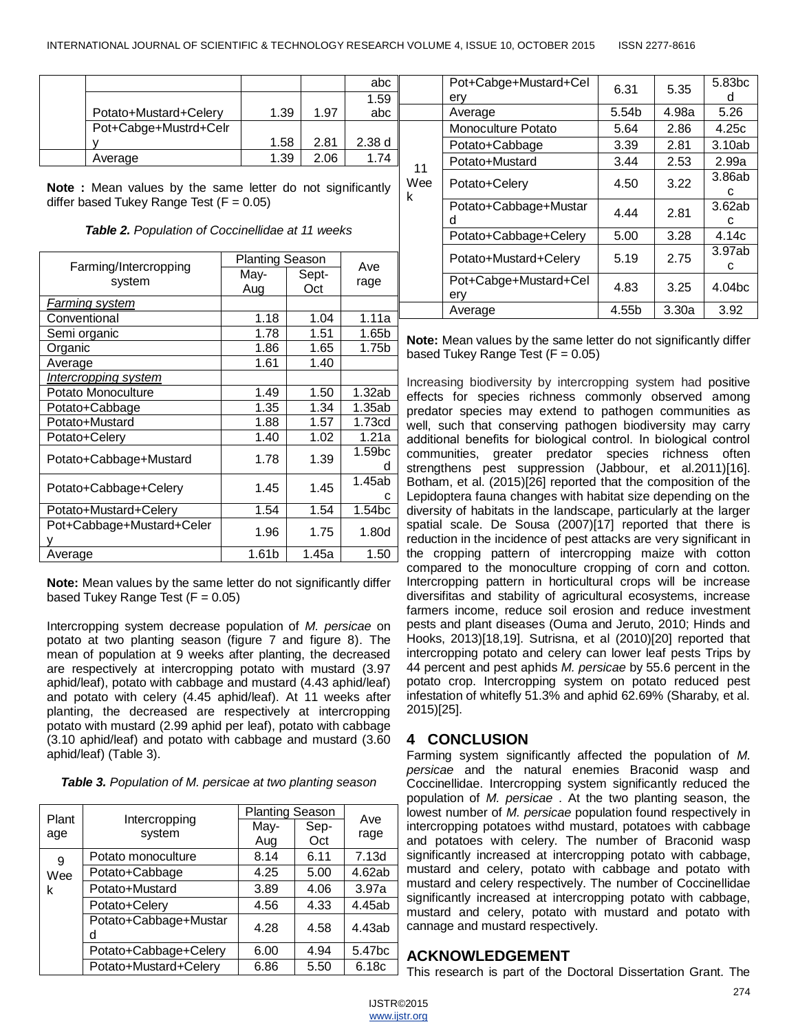11 We k

|                       |      |      | abc   |  |
|-----------------------|------|------|-------|--|
|                       |      |      | 1.59  |  |
| Potato+Mustard+Celery | 1.39 | 1.97 | abc   |  |
| Pot+Cabge+Mustrd+Celr |      |      |       |  |
|                       | 1.58 | 2.81 | 2.38d |  |
| Average               | 1.39 | 2.06 | 1 74  |  |

**Note :** Mean values by the same letter do not significantly differ based Tukey Range Test  $(F = 0.05)$ 

| Farming/Intercropping     | <b>Planting Season</b> |       | Ave                |
|---------------------------|------------------------|-------|--------------------|
|                           | May-                   | Sept- |                    |
| system                    | Aug                    | Oct   | rage               |
| <u>Farming system</u>     |                        |       |                    |
| Conventional              | 1.18                   | 1.04  | 1.11a              |
| Semi organic              | 1.78                   | 1.51  | 1.65b              |
| Organic                   | 1.86                   | 1.65  | 1.75b              |
| Average                   | 1.61                   | 1.40  |                    |
| Intercropping system      |                        |       |                    |
| Potato Monoculture        | 1.49                   | 1.50  | 1.32ab             |
| Potato+Cabbage            | 1.35                   | 1.34  | 1.35ab             |
| Potato+Mustard            | 1.88                   | 1.57  | 1.73cd             |
| Potato+Celery             | 1.40                   | 1.02  | 1.21a              |
| Potato+Cabbage+Mustard    | 1.78                   | 1.39  | 1.59 <sub>bc</sub> |
|                           |                        |       | d                  |
| Potato+Cabbage+Celery     | 1.45                   | 1.45  | 1.45ab             |
|                           |                        |       | c                  |
| Potato+Mustard+Celery     | 1.54                   | 1.54  | 1.54 <sub>bc</sub> |
| Pot+Cabbage+Mustard+Celer | 1.96                   | 1.75  | 1.80d              |
|                           |                        |       |                    |
| Average                   | 1.61b                  | 1.45a | 1.50               |

**Note:** Mean values by the same letter do not significantly differ based Tukey Range Test  $(F = 0.05)$ 

Intercropping system decrease population of *M. persicae* on potato at two planting season (figure 7 and figure 8). The mean of population at 9 weeks after planting, the decreased are respectively at intercropping potato with mustard (3.97 aphid/leaf), potato with cabbage and mustard (4.43 aphid/leaf) and potato with celery (4.45 aphid/leaf). At 11 weeks after planting, the decreased are respectively at intercropping potato with mustard (2.99 aphid per leaf), potato with cabbage (3.10 aphid/leaf) and potato with cabbage and mustard (3.60 aphid/leaf) (Table 3).

| Table 3. Population of M. persicae at two planting season |  |  |  |  |
|-----------------------------------------------------------|--|--|--|--|
|-----------------------------------------------------------|--|--|--|--|

| Plant |                            | <b>Planting Season</b> |             | Ave                |
|-------|----------------------------|------------------------|-------------|--------------------|
| age   | Intercropping<br>system    | May-<br>Aug            | Sep-<br>Oct | rage               |
| 9     | Potato monoculture         | 8.14                   | 6.11        | 7.13d              |
| Wee   | Potato+Cabbage             | 4.25                   | 5.00        | 4.62ab             |
| k     | Potato+Mustard             | 3.89                   | 4.06        | 3.97a              |
|       | Potato+Celery              | 4.56                   | 4.33        | 4.45ab             |
|       | Potato+Cabbage+Mustar<br>d | 4.28                   | 4.58        | 4.43ab             |
|       | Potato+Cabbage+Celery      | 6.00                   | 4.94        | 5.47 <sub>bc</sub> |
|       | Potato+Mustard+Celery      | 6.86                   | 5.50        | 6.18c              |

|   | Pot+Cabge+Mustard+Cel<br>ery | 6.31  | 5.35  | 5.83 <sub>bc</sub><br>а |
|---|------------------------------|-------|-------|-------------------------|
|   | Average                      | 5.54b | 4.98a | 5.26                    |
|   | Monoculture Potato           | 5.64  | 2.86  | 4.25c                   |
|   | Potato+Cabbage               | 3.39  | 2.81  | 3.10ab                  |
|   | Potato+Mustard               | 3.44  | 2.53  | 2.99a                   |
| e | Potato+Celery                | 4.50  | 3.22  | 3.86ab<br>с             |
|   | Potato+Cabbage+Mustar<br>d   | 4.44  | 2.81  | 3.62ab<br>с             |
|   | Potato+Cabbage+Celery        | 5.00  | 3.28  | 4.14c                   |
|   | Potato+Mustard+Celery        | 5.19  | 2.75  | 3.97ab<br>с             |
|   | Pot+Cabge+Mustard+Cel<br>ery | 4.83  | 3.25  | 4.04 <sub>bc</sub>      |
|   | Average                      | 4.55b | 3.30a | 3.92                    |

**Note:** Mean values by the same letter do not significantly differ based Tukey Range Test  $(F = 0.05)$ 

Increasing biodiversity by intercropping system had positive effects for species richness commonly observed among predator species may extend to pathogen communities as well, such that conserving pathogen biodiversity may carry additional benefits for biological control. In biological control communities, greater predator species richness often strengthens pest suppression (Jabbour, et al.2011)[16]. Botham, et al. (2015)[26] reported that the composition of the Lepidoptera fauna changes with habitat size depending on the diversity of habitats in the landscape, particularly at the larger spatial scale. De Sousa (2007)[17] reported that there is reduction in the incidence of pest attacks are very significant in the cropping pattern of intercropping maize with cotton compared to the monoculture cropping of corn and cotton. Intercropping pattern in horticultural crops will be increase diversifitas and stability of agricultural ecosystems, increase farmers income, reduce soil erosion and reduce investment pests and plant diseases (Ouma and Jeruto, 2010; Hinds and Hooks, 2013)[18,19]. Sutrisna, et al (2010)[20] reported that intercropping potato and celery can lower leaf pests Trips by 44 percent and pest aphids *M. persicae* by 55.6 percent in the potato crop. Intercropping system on potato reduced pest infestation of whitefly 51.3% and aphid 62.69% (Sharaby, et al. 2015)[25].

#### **4 CONCLUSION**

Farming system significantly affected the population of *M. persicae* and the natural enemies Braconid wasp and Coccinellidae. Intercropping system significantly reduced the population of *M. persicae* . At the two planting season, the lowest number of *M. persicae* population found respectively in intercropping potatoes withd mustard, potatoes with cabbage and potatoes with celery. The number of Braconid wasp significantly increased at intercropping potato with cabbage, mustard and celery, potato with cabbage and potato with mustard and celery respectively. The number of Coccinellidae significantly increased at intercropping potato with cabbage, mustard and celery, potato with mustard and potato with cannage and mustard respectively.

## **ACKNOWLEDGEMENT**

This research is part of the Doctoral Dissertation Grant. The

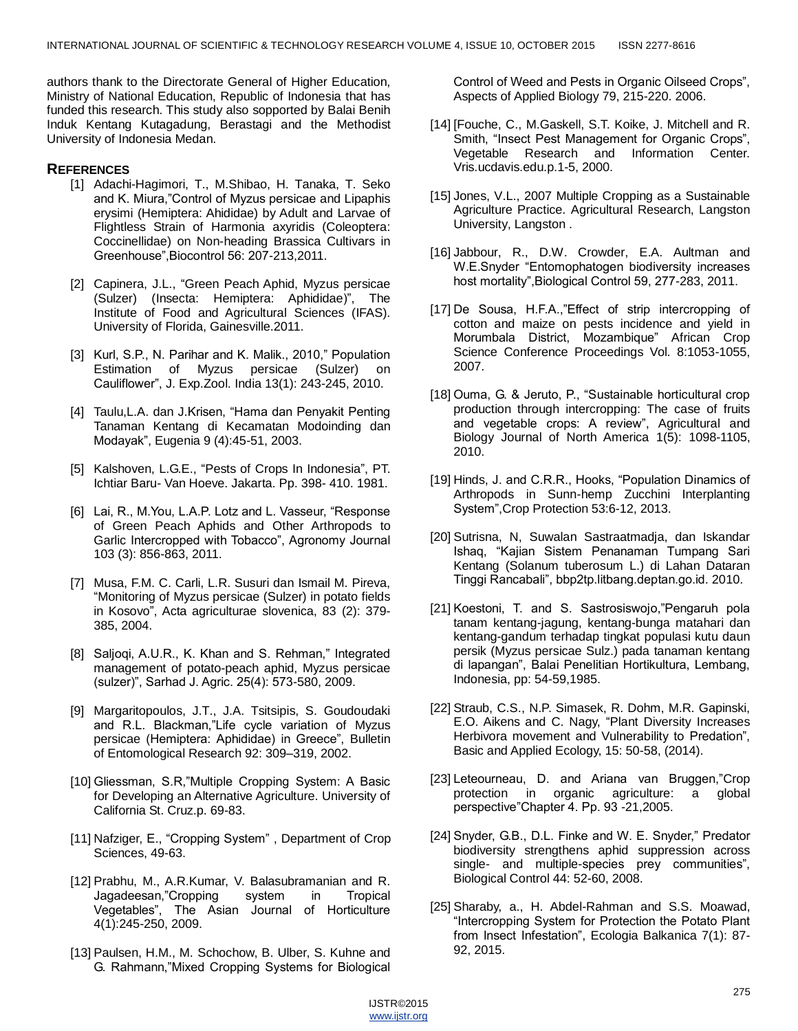authors thank to the Directorate General of Higher Education, Ministry of National Education, Republic of Indonesia that has funded this research. This study also sopported by Balai Benih Induk Kentang Kutagadung, Berastagi and the Methodist University of Indonesia Medan.

#### **REFERENCES**

- [1] Adachi-Hagimori, T., M.Shibao, H. Tanaka, T. Seko and K. Miura,"Control of Myzus persicae and Lipaphis erysimi (Hemiptera: Ahididae) by Adult and Larvae of Flightless Strain of Harmonia axyridis (Coleoptera: Coccinellidae) on Non-heading Brassica Cultivars in Greenhouse‖,Biocontrol 56: 207-213,2011.
- [2] Capinera, J.L., "Green Peach Aphid, Myzus persicae (Sulzer) (Insecta: Hemiptera: Aphididae)", The Institute of Food and Agricultural Sciences (IFAS). University of Florida, Gainesville.2011.
- [3] Kurl, S.P., N. Parihar and K. Malik., 2010," Population Estimation of Myzus persicae (Sulzer) on Cauliflower‖, J. Exp.Zool. India 13(1): 243-245, 2010.
- [4] Taulu, L.A. dan J.Krisen, "Hama dan Penyakit Penting Tanaman Kentang di Kecamatan Modoinding dan Modayak‖, Eugenia 9 (4):45-51, 2003.
- [5] Kalshoven, L.G.E., "Pests of Crops In Indonesia", PT. Ichtiar Baru- Van Hoeve. Jakarta. Pp. 398- 410. 1981.
- [6] Lai, R., M.You, L.A.P. Lotz and L. Vasseur, "Response of Green Peach Aphids and Other Arthropods to Garlic Intercropped with Tobacco", Agronomy Journal 103 (3): 856-863, 2011.
- [7] Musa, F.M. C. Carli, L.R. Susuri dan Ismail M. Pireva, ―Monitoring of Myzus persicae (Sulzer) in potato fields in Kosovo", Acta agriculturae slovenica, 83 (2): 379-385, 2004.
- [8] Saljoqi, A.U.R., K. Khan and S. Rehman," Integrated management of potato-peach aphid, Myzus persicae (sulzer)‖, Sarhad J. Agric. 25(4): 573-580, 2009.
- [9] Margaritopoulos, J.T., J.A. Tsitsipis, S. Goudoudaki and R.L. Blackman,"Life cycle variation of Myzus persicae (Hemiptera: Aphididae) in Greece", Bulletin of Entomological Research 92: 309–319, 2002.
- [10] Gliessman, S.R,"Multiple Cropping System: A Basic for Developing an Alternative Agriculture. University of California St. Cruz.p. 69-83.
- [11] Nafziger, E., "Cropping System", Department of Crop Sciences, 49-63.
- [12] Prabhu, M., A.R.Kumar, V. Balasubramanian and R. Jagadeesan,"Cropping system in Tropical Vegetables‖, The Asian Journal of Horticulture 4(1):245-250, 2009.
- [13] Paulsen, H.M., M. Schochow, B. Ulber, S. Kuhne and G. Rahmann,"Mixed Cropping Systems for Biological

Control of Weed and Pests in Organic Oilseed Crops", Aspects of Applied Biology 79, 215-220. 2006.

- [14] [Fouche, C., M.Gaskell, S.T. Koike, J. Mitchell and R. Smith, "Insect Pest Management for Organic Crops", Vegetable Research and Information Center. Vris.ucdavis.edu.p.1-5, 2000.
- [15] Jones, V.L., 2007 Multiple Cropping as a Sustainable Agriculture Practice. Agricultural Research, Langston University, Langston .
- [16] Jabbour, R., D.W. Crowder, E.A. Aultman and W.E.Snyder "Entomophatogen biodiversity increases host mortality", Biological Control 59, 277-283, 2011.
- [17] De Sousa, H.F.A.,"Effect of strip intercropping of cotton and maize on pests incidence and yield in Morumbala District, Mozambique" African Crop Science Conference Proceedings Vol. 8:1053-1055, 2007.
- [18] Ouma, G. & Jeruto, P., "Sustainable horticultural crop production through intercropping: The case of fruits and vegetable crops: A review", Agricultural and Biology Journal of North America 1(5): 1098-1105, 2010.
- [19] Hinds, J. and C.R.R., Hooks, "Population Dinamics of Arthropods in Sunn-hemp Zucchini Interplanting System", Crop Protection 53:6-12, 2013.
- [20] Sutrisna, N, Suwalan Sastraatmadja, dan Iskandar Ishaq, "Kajian Sistem Penanaman Tumpang Sari Kentang (Solanum tuberosum L.) di Lahan Dataran Tinggi Rancabali‖, bbp2tp.litbang.deptan.go.id. 2010.
- [21] Koestoni, T. and S. Sastrosiswojo, "Pengaruh pola tanam kentang-jagung, kentang-bunga matahari dan kentang-gandum terhadap tingkat populasi kutu daun persik (Myzus persicae Sulz.) pada tanaman kentang di lapangan", Balai Penelitian Hortikultura, Lembang, Indonesia, pp: 54-59,1985.
- [22] Straub, C.S., N.P. Simasek, R. Dohm, M.R. Gapinski, E.O. Aikens and C. Nagy, "Plant Diversity Increases Herbivora movement and Vulnerability to Predation", Basic and Applied Ecology, 15: 50-58, (2014).
- [23] Leteourneau, D. and Ariana van Bruggen,"Crop protection in organic agriculture: a global perspective"Chapter 4. Pp. 93 -21,2005.
- [24] Snyder, G.B., D.L. Finke and W. E. Snyder," Predator biodiversity strengthens aphid suppression across single- and multiple-species prey communities", Biological Control 44: 52-60, 2008.
- [25] Sharaby, a., H. Abdel-Rahman and S.S. Moawad, "Intercropping System for Protection the Potato Plant from Insect Infestation", Ecologia Balkanica 7(1): 87-92, 2015.

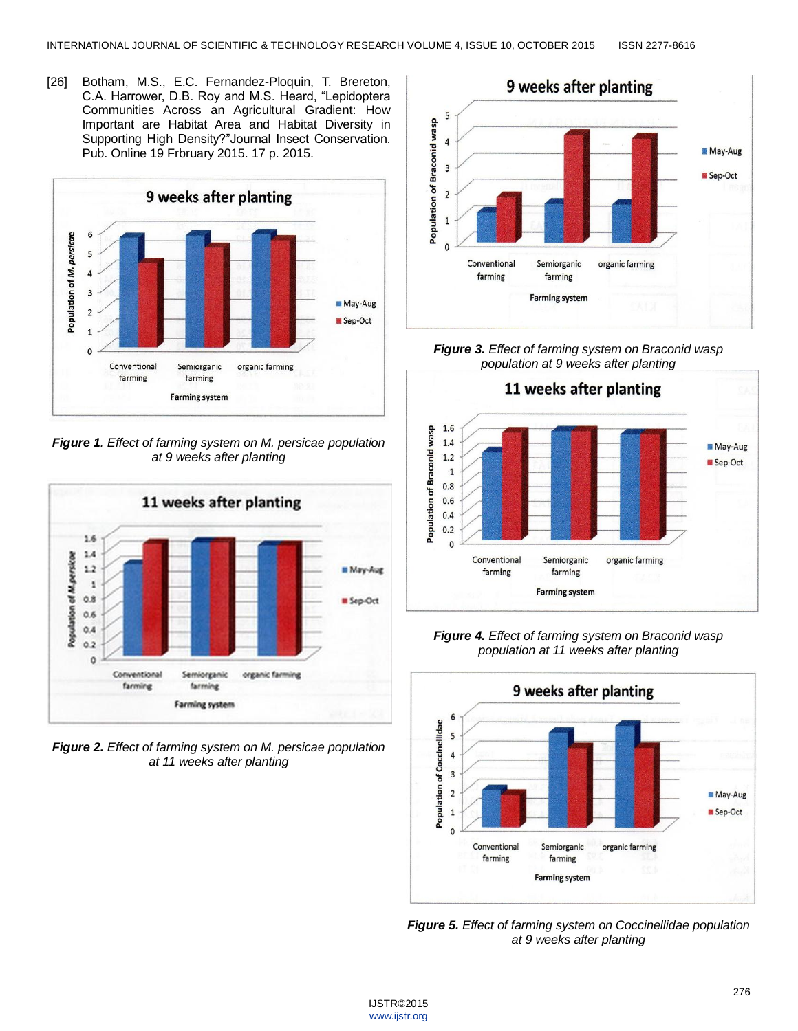[26] Botham, M.S., E.C. Fernandez-Ploquin, T. Brereton, C.A. Harrower, D.B. Roy and M.S. Heard, "Lepidoptera Communities Across an Agricultural Gradient: How Important are Habitat Area and Habitat Diversity in Supporting High Density?"Journal Insect Conservation. Pub. Online 19 Frbruary 2015. 17 p. 2015.



*Figure 1. Effect of farming system on M. persicae population at 9 weeks after planting*



*Figure 2. Effect of farming system on M. persicae population at 11 weeks after planting*



*Figure 3. Effect of farming system on Braconid wasp population at 9 weeks after planting*



*Figure 4. Effect of farming system on Braconid wasp population at 11 weeks after planting*



*Figure 5. Effect of farming system on Coccinellidae population at 9 weeks after planting*